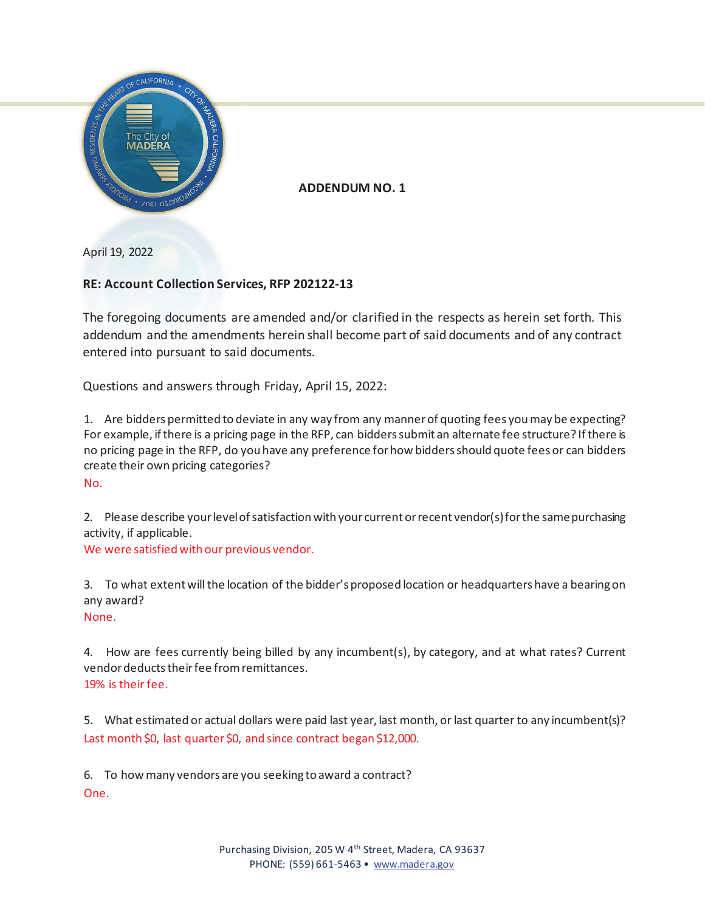

**ADDENDUM NO. 1**

April 19, 2022

## **RE: Account Collection Services, RFP 202122-13**

The foregoing documents are amended and/or clarified in the respects as herein set forth. This addendum and the amendments herein shall become part of said documents and of any contract entered into pursuant to said documents.

Questions and answers through Friday, April 15, 2022:

1. Are bidders permitted to deviate in any way from any manner of quoting fees you may be expecting? For example, if there is a pricing page in the RFP, can bidders submit an alternate fee structure? If there is no pricing page in the RFP, do you have any preference for how bidders should quote fees or can bidders create their own pricing categories?

No.

2. Please describe your level of satisfaction with your current or recent vendor(s) for the same purchasing activity, if applicable.

We were satisfied with our previous vendor.

3. To what extent will the location of the bidder's proposed location or headquarters have a bearing on any award?

None.

4. How are fees currently being billed by any incumbent(s), by category, and at what rates? Current vendor deducts their fee from remittances. 19% is their fee.

5. What estimated or actual dollars were paid last year, last month, or last quarter to any incumbent(s)? Last month \$0, last quarter \$0, and since contract began \$12,000.

6. To how many vendors are you seeking to award a contract? One.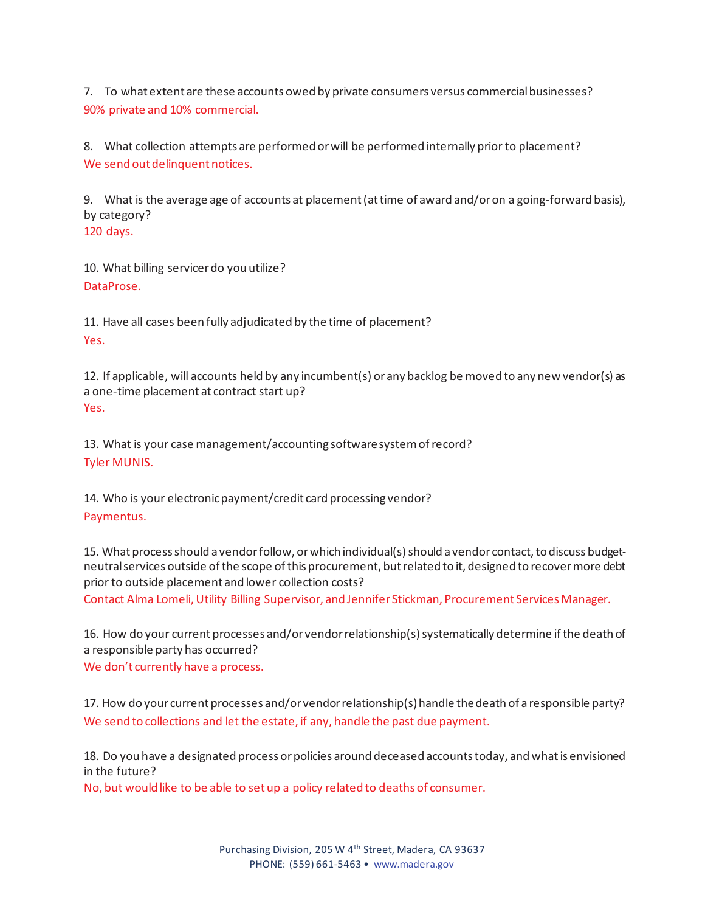7. To what extent are these accounts owed by private consumers versus commercial businesses? 90% private and 10% commercial.

8. What collection attempts are performed or will be performed internally prior to placement? We send out delinquent notices.

9. What is the average age of accounts at placement (at time of award and/or on a going-forward basis), by category?

120 days.

10. What billing servicer do you utilize? DataProse.

11. Have all cases been fully adjudicated by the time of placement? Yes.

12. If applicable, will accounts held by any incumbent(s) or any backlog be moved to any new vendor(s) as a one-time placement at contract start up? Yes.

13. What is your case management/accounting software system of record? Tyler MUNIS.

14. Who is your electronic payment/credit card processing vendor? Paymentus.

15. What process should a vendor follow, or which individual(s) should a vendor contact, to discuss budgetneutral services outside of the scope of this procurement, but related to it, designed to recover more debt prior to outside placement and lower collection costs?

Contact Alma Lomeli, Utility Billing Supervisor, and Jennifer Stickman, Procurement Services Manager.

16. How do your current processes and/or vendor relationship(s) systematically determine if the death of a responsible party has occurred?

We don't currently have a process.

17. How do your current processes and/or vendor relationship(s) handle the death of a responsible party? We send to collections and let the estate, if any, handle the past due payment.

18. Do you have a designated process or policies around deceased accounts today, and what is envisioned in the future?

No, but would like to be able to set up a policy related to deaths of consumer.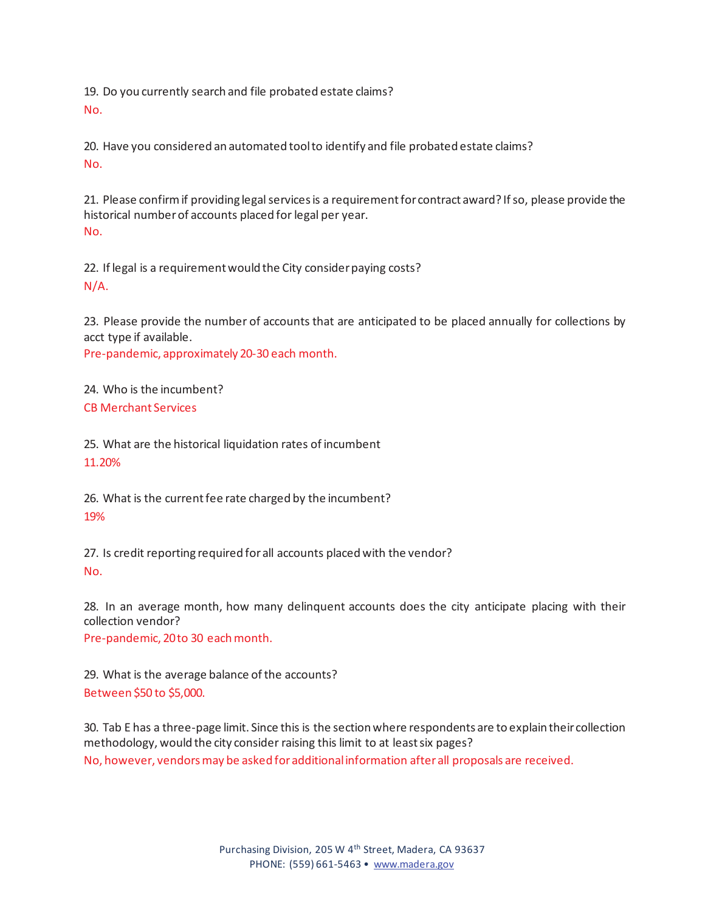19. Do you currently search and file probated estate claims? No.

20. Have you considered an automated tool to identify and file probated estate claims? No.

21. Please confirm if providing legal services is a requirement for contract award? If so, please provide the historical number of accounts placed for legal per year. No.

22. If legal is a requirement would the City consider paying costs? N/A.

23. Please provide the number of accounts that are anticipated to be placed annually for collections by acct type if available.

Pre-pandemic, approximately 20-30 each month.

24. Who is the incumbent? CB Merchant Services

25. What are the historical liquidation rates of incumbent 11.20%

26. What is the current fee rate charged by the incumbent? 19%

27. Is credit reporting required for all accounts placed with the vendor? No.

28. In an average month, how many delinquent accounts does the city anticipate placing with their collection vendor?

Pre-pandemic, 20 to 30 each month.

29. What is the average balance of the accounts? Between \$50 to \$5,000.

30. Tab E has a three-page limit. Since this is the section where respondents are to explain their collection methodology, would the city consider raising this limit to at least six pages? No, however, vendors may be asked for additional information after all proposals are received.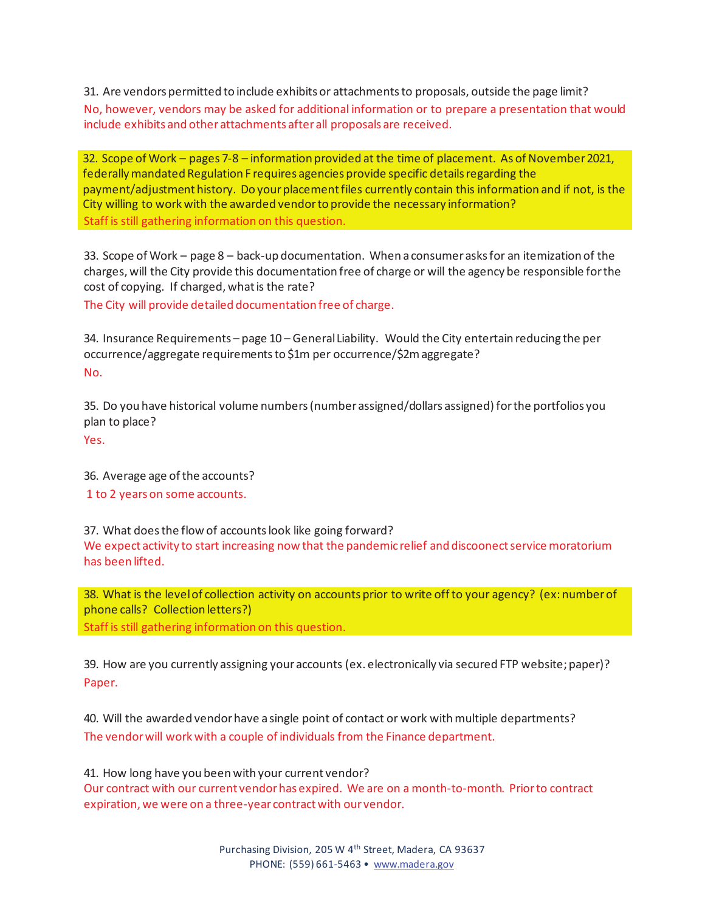31. Are vendors permitted to include exhibits or attachments to proposals, outside the page limit? No, however, vendors may be asked for additional information or to prepare a presentation that would include exhibits and other attachments after all proposals are received.

32. Scope of Work – pages 7-8 – information provided at the time of placement. As of November 2021, federally mandated Regulation F requires agencies provide specific details regarding the payment/adjustment history. Do your placement files currently contain this information and if not, is the City willing to work with the awarded vendor to provide the necessary information? Staff is still gathering information on this question.

33. Scope of Work – page 8 – back-up documentation. When a consumer asks for an itemization of the charges, will the City provide this documentation free of charge or will the agency be responsible for the cost of copying. If charged, what is the rate?

The City will provide detailed documentation free of charge.

34. Insurance Requirements – page 10 – General Liability. Would the City entertain reducing the per occurrence/aggregate requirements to \$1m per occurrence/\$2m aggregate? No.

35. Do you have historical volume numbers (number assigned/dollars assigned) for the portfolios you plan to place?

Yes.

36. Average age of the accounts? 1 to 2 years on some accounts.

37. What does the flow of accounts look like going forward? We expect activity to start increasing now that the pandemic relief and discoonect service moratorium has been lifted.

38. What is the level of collection activity on accounts prior to write off to your agency? (ex: number of phone calls? Collection letters?) Staff is still gathering information on this question.

39. How are you currently assigning your accounts (ex. electronically via secured FTP website; paper)? Paper.

40. Will the awarded vendor have a single point of contact or work with multiple departments? The vendor will work with a couple of individuals from the Finance department.

41. How long have you been with your current vendor? Our contract with our current vendor has expired. We are on a month-to-month. Prior to contract expiration, we were on a three-year contract with our vendor.

> Purchasing Division, 205 W 4<sup>th</sup> Street, Madera, CA 93637 PHONE: (559) 661-5463 • www.madera.gov